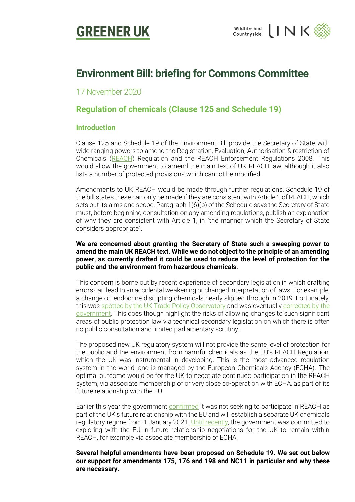



## **Environment Bill: briefing for Commons Committee**

17 November 2020

### **Regulation of chemicals (Clause 125 and Schedule 19)**

#### **Introduction**

Clause 125 and Schedule 19 of the Environment Bill provide the Secretary of State with wide ranging powers to amend the Registration, Evaluation, Authorisation & restriction of Chemicals [\(REACH\)](https://www.hse.gov.uk/reach/) Regulation and the REACH Enforcement Regulations 2008. This would allow the government to amend the main text of UK REACH law, although it also lists a number of protected provisions which cannot be modified.

Amendments to UK REACH would be made through further regulations. Schedule 19 of the bill states these can only be made if they are consistent with Article 1 of REACH, which sets out its aims and scope. Paragraph 1(6)(b) of the Schedule says the Secretary of State must, before beginning consultation on any amending regulations, publish an explanation of why they are consistent with Article 1, in "the manner which the Secretary of State considers appropriate".

#### **We are concerned about granting the Secretary of State such a sweeping power to amend the main UK REACH text. While we do not object to the principle of an amending power, as currently drafted it could be used to reduce the level of protection for the public and the environment from hazardous chemicals**.

This concern is borne out by recent experience of secondary legislation in which drafting errors can lead to an accidental weakening or changed interpretation of laws. For example, a change on endocrine disrupting chemicals nearly slipped through in 2019. Fortunately, this was [spotted by the UK Trade Policy Observatory](https://blogs.sussex.ac.uk/uktpo/2019/05/15/not-just-a-technical-exercise-a-look-at-new-uk-pesticides-regulation/) and was eventually [corrected by the](https://hansard.parliament.uk/lords/2019-10-16/debates/AC83BCEA-7132-4B76-ABD4-B325B436E836/Pesticides(Amendment)(EUExit)Regulations2019)  [government.](https://hansard.parliament.uk/lords/2019-10-16/debates/AC83BCEA-7132-4B76-ABD4-B325B436E836/Pesticides(Amendment)(EUExit)Regulations2019) This does though highlight the risks of allowing changes to such significant areas of public protection law via technical secondary legislation on which there is often no public consultation and limited parliamentary scrutiny.

The proposed new UK regulatory system will not provide the same level of protection for the public and the environment from harmful chemicals as the EU's REACH Regulation, which the UK was instrumental in developing. This is the most advanced regulation system in the world, and is managed by the European Chemicals Agency (ECHA). The optimal outcome would be for the UK to negotiate continued participation in the REACH system, via associate membership of or very close co-operation with ECHA, as part of its future relationship with the EU.

Earlier this year the government [confirmed](https://committees.parliament.uk/publications/1277/documents/11202/default/) it was not seeking to participate in REACH as part of the UK's future relationship with the EU and will establish a separate UK chemicals regulatory regime from 1 January 2021. [Until recently,](https://old.parliament.uk/documents/commons-committees/liaison/LC-27-03-18.pdf) the government was committed to exploring with the EU in future relationship negotiations for the UK to remain within REACH, for example via associate membership of ECHA.

**Several helpful amendments have been proposed on Schedule 19. We set out below our support for amendments 175, 176 and 198 and NC11 in particular and why these are necessary.**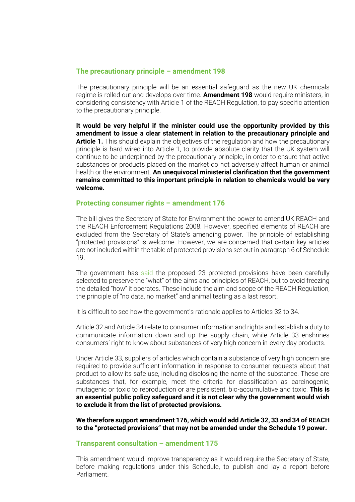#### **The precautionary principle – amendment 198**

The precautionary principle will be an essential safeguard as the new UK chemicals regime is rolled out and develops over time. **Amendment 198** would require ministers, in considering consistency with Article 1 of the REACH Regulation, to pay specific attention to the precautionary principle.

**It would be very helpful if the minister could use the opportunity provided by this amendment to issue a clear statement in relation to the precautionary principle and Article 1.** This should explain the objectives of the regulation and how the precautionary principle is hard wired into Article 1, to provide absolute clarity that the UK system will continue to be underpinned by the precautionary principle, in order to ensure that active substances or products placed on the market do not adversely affect human or animal health or the environment. **An unequivocal ministerial clarification that the government remains committed to this important principle in relation to chemicals would be very welcome.**

#### **Protecting consumer rights – amendment 176**

The bill gives the Secretary of State for Environment the power to amend UK REACH and the REACH Enforcement Regulations 2008. However, specified elements of REACH are excluded from the Secretary of State's amending power. The principle of establishing "protected provisions" is welcome. However, we are concerned that certain key articles are not included within the table of protected provisions set out in paragraph 6 of Schedule 19.

The government has [said](https://committees.parliament.uk/publications/1277/documents/11202/default/) the proposed 23 protected provisions have been carefully selected to preserve the "what" of the aims and principles of REACH, but to avoid freezing the detailed "how" it operates. These include the aim and scope of the REACH Regulation, the principle of "no data, no market" and animal testing as a last resort.

It is difficult to see how the government's rationale applies to Articles 32 to 34.

Article 32 and Article 34 relate to consumer information and rights and establish a duty to communicate information down and up the supply chain, while Article 33 enshrines consumers' right to know about substances of very high concern in every day products.

Under Article 33, suppliers of articles which contain a substance of very high concern are required to provide sufficient information in response to consumer requests about that product to allow its safe use, including disclosing the name of the substance. These are substances that, for example, meet the criteria for classification as carcinogenic, mutagenic or toxic to reproduction or are persistent, bio-accumulative and toxic. **This is an essential public policy safeguard and it is not clear why the government would wish to exclude it from the list of protected provisions.**

**We therefore support amendment 176, which would add Article 32, 33 and 34 of REACH to the "protected provisions" that may not be amended under the Schedule 19 power.**

#### **Transparent consultation – amendment 175**

This amendment would improve transparency as it would require the Secretary of State, before making regulations under this Schedule, to publish and lay a report before Parliament.